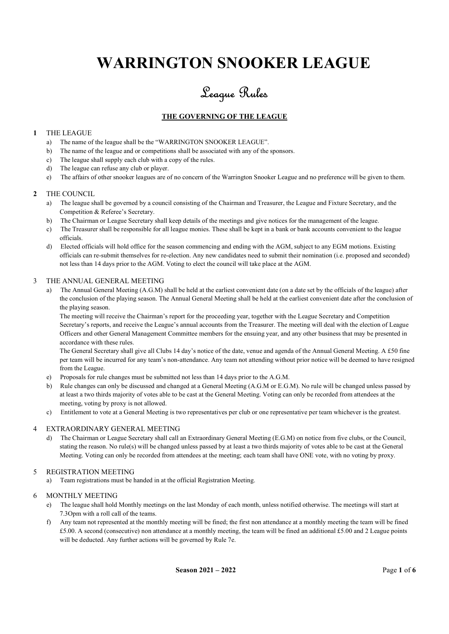# WARRINGTON SNOOKER LEAGUE

# League Rules

# THE GOVERNING OF THE LEAGUE

# 1 THE LEAGUE

- a) The name of the league shall be the "WARRINGTON SNOOKER LEAGUE".
- b) The name of the league and or competitions shall be associated with any of the sponsors.
- c) The league shall supply each club with a copy of the rules.
- d) The league can refuse any club or player.
- e) The affairs of other snooker leagues are of no concern of the Warrington Snooker League and no preference will be given to them.

# 2 THE COUNCIL

- a) The league shall be governed by a council consisting of the Chairman and Treasurer, the League and Fixture Secretary, and the Competition & Referee's Secretary.
- b) The Chairman or League Secretary shall keep details of the meetings and give notices for the management of the league.
- c) The Treasurer shall be responsible for all league monies. These shall be kept in a bank or bank accounts convenient to the league officials.
- d) Elected officials will hold office for the season commencing and ending with the AGM, subject to any EGM motions. Existing officials can re-submit themselves for re-election. Any new candidates need to submit their nomination (i.e. proposed and seconded) not less than 14 days prior to the AGM. Voting to elect the council will take place at the AGM.

# 3 THE ANNUAL GENERAL MEETING

a) The Annual General Meeting (A.G.M) shall be held at the earliest convenient date (on a date set by the officials of the league) after the conclusion of the playing season. The Annual General Meeting shall be held at the earliest convenient date after the conclusion of the playing season.

The meeting will receive the Chairman's report for the proceeding year, together with the League Secretary and Competition Secretary's reports, and receive the League's annual accounts from the Treasurer. The meeting will deal with the election of League Officers and other General Management Committee members for the ensuing year, and any other business that may be presented in accordance with these rules.

The General Secretary shall give all Clubs 14 day's notice of the date, venue and agenda of the Annual General Meeting. A £50 fine per team will be incurred for any team's non-attendance. Any team not attending without prior notice will be deemed to have resigned from the League.

- e) Proposals for rule changes must be submitted not less than 14 days prior to the A.G.M.
- b) Rule changes can only be discussed and changed at a General Meeting (A.G.M or E.G.M). No rule will be changed unless passed by at least a two thirds majority of votes able to be cast at the General Meeting. Voting can only be recorded from attendees at the meeting, voting by proxy is not allowed.
- c) Entitlement to vote at a General Meeting is two representatives per club or one representative per team whichever is the greatest.

# 4 EXTRAORDINARY GENERAL MEETING

d) The Chairman or League Secretary shall call an Extraordinary General Meeting (E.G.M) on notice from five clubs, or the Council, stating the reason. No rule(s) will be changed unless passed by at least a two thirds majority of votes able to be cast at the General Meeting. Voting can only be recorded from attendees at the meeting; each team shall have ONE vote, with no voting by proxy.

# 5 REGISTRATION MEETING

a) Team registrations must be handed in at the official Registration Meeting.

# 6 MONTHLY MEETING

- e) The league shall hold Monthly meetings on the last Monday of each month, unless notified otherwise. The meetings will start at 7.3Opm with a roll call of the teams.
- f) Any team not represented at the monthly meeting will be fined; the first non attendance at a monthly meeting the team will be fined £5.00. A second (consecutive) non attendance at a monthly meeting, the team will be fined an additional £5.00 and 2 League points will be deducted. Any further actions will be governed by Rule 7e.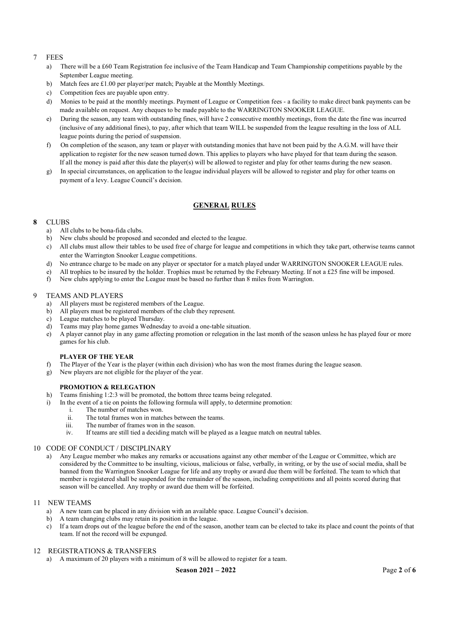#### 7 FEES

- a) There will be a £60 Team Registration fee inclusive of the Team Handicap and Team Championship competitions payable by the September League meeting.
- b) Match fees are £1.00 per player/per match; Payable at the Monthly Meetings.
- c) Competition fees are payable upon entry.
- d) Monies to be paid at the monthly meetings. Payment of League or Competition fees a facility to make direct bank payments can be made available on request. Any cheques to be made payable to the WARRINGTON SNOOKER LEAGUE.
- e) During the season, any team with outstanding fines, will have 2 consecutive monthly meetings, from the date the fine was incurred (inclusive of any additional fines), to pay, after which that team WILL be suspended from the league resulting in the loss of ALL league points during the period of suspension.
- f) On completion of the season, any team or player with outstanding monies that have not been paid by the A.G.M. will have their application to register for the new season turned down. This applies to players who have played for that team during the season. If all the money is paid after this date the player(s) will be allowed to register and play for other teams during the new season.
- g) In special circumstances, on application to the league individual players will be allowed to register and play for other teams on payment of a levy. League Council's decision.

# GENERAL RULES

# 8 CLUBS

- a) All clubs to be bona-fida clubs.
- b) New clubs should be proposed and seconded and elected to the league.
- c) All clubs must allow their tables to be used free of charge for league and competitions in which they take part, otherwise teams cannot enter the Warrington Snooker League competitions.
- d) No entrance charge to be made on any player or spectator for a match played under WARRINGTON SNOOKER LEAGUE rules.
- e) All trophies to be insured by the holder. Trophies must be returned by the February Meeting. If not a £25 fine will be imposed.
- f) New clubs applying to enter the League must be based no further than 8 miles from Warrington.

#### 9 TEAMS AND PLAYERS

- a) All players must be registered members of the League.
- b) All players must be registered members of the club they represent.
- c) League matches to be played Thursday.
- d) Teams may play home games Wednesday to avoid a one-table situation.
- e) A player cannot play in any game affecting promotion or relegation in the last month of the season unless he has played four or more games for his club.

#### PLAYER OF THE YEAR

- f) The Player of the Year is the player (within each division) who has won the most frames during the league season.
- g) New players are not eligible for the player of the year.

# PROMOTION & RELEGATION

- h) Teams finishing 1:2:3 will be promoted, the bottom three teams being relegated.
- i) In the event of a tie on points the following formula will apply, to determine promotion:
	- i. The number of matches won.
	- ii. The total frames won in matches between the teams.
	- iii. The number of frames won in the season.
	- iv. If teams are still tied a deciding match will be played as a league match on neutral tables.

# 10 CODE OF CONDUCT / DISCIPLINARY

a) Any League member who makes any remarks or accusations against any other member of the League or Committee, which are considered by the Committee to be insulting, vicious, malicious or false, verbally, in writing, or by the use of social media, shall be banned from the Warrington Snooker League for life and any trophy or award due them will be forfeited. The team to which that member is registered shall be suspended for the remainder of the season, including competitions and all points scored during that season will be cancelled. Any trophy or award due them will be forfeited.

#### 11 NEW TEAMS

- a) A new team can be placed in any division with an available space. League Council's decision.
- b) A team changing clubs may retain its position in the league.
- c) If a team drops out of the league before the end of the season, another team can be elected to take its place and count the points of that team. If not the record will be expunged.

#### 12 REGISTRATIONS & TRANSFERS

a) A maximum of 20 players with a minimum of 8 will be allowed to register for a team.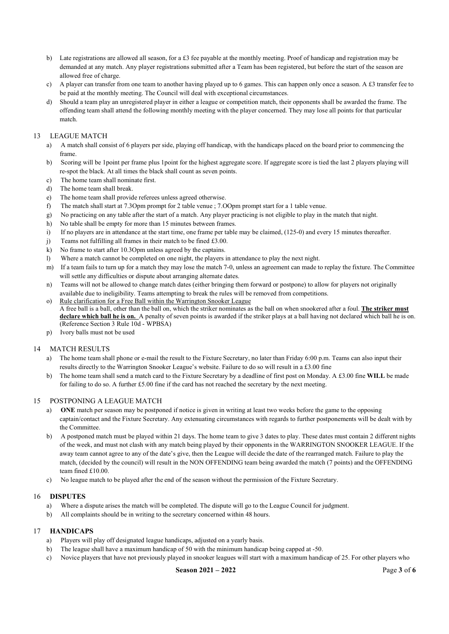- b) Late registrations are allowed all season, for a £3 fee payable at the monthly meeting. Proof of handicap and registration may be demanded at any match. Any player registrations submitted after a Team has been registered, but before the start of the season are allowed free of charge.
- c) A player can transfer from one team to another having played up to 6 games. This can happen only once a season. A £3 transfer fee to be paid at the monthly meeting. The Council will deal with exceptional circumstances.
- d) Should a team play an unregistered player in either a league or competition match, their opponents shall be awarded the frame. The offending team shall attend the following monthly meeting with the player concerned. They may lose all points for that particular match.

# 13 LEAGUE MATCH

- a) A match shall consist of 6 players per side, playing off handicap, with the handicaps placed on the board prior to commencing the frame.
- b) Scoring will be 1point per frame plus 1point for the highest aggregate score. If aggregate score is tied the last 2 players playing will re-spot the black. At all times the black shall count as seven points.
- c) The home team shall nominate first.
- d) The home team shall break.
- e) The home team shall provide referees unless agreed otherwise.
- f) The match shall start at 7.3Opm prompt for 2 table venue ; 7.OOpm prompt start for a 1 table venue.
- g) No practicing on any table after the start of a match. Any player practicing is not eligible to play in the match that night.
- h) No table shall be empty for more than 15 minutes between frames.
- i) If no players are in attendance at the start time, one frame per table may be claimed, (125-0) and every 15 minutes thereafter.
- j) Teams not fulfilling all frames in their match to be fined £3.00.
- k) No frame to start after 10.3Opm unless agreed by the captains.
- l) Where a match cannot be completed on one night, the players in attendance to play the next night.
- m) If a team fails to turn up for a match they may lose the match 7-0, unless an agreement can made to replay the fixture. The Committee will settle any difficulties or dispute about arranging alternate dates.
- n) Teams will not be allowed to change match dates (either bringing them forward or postpone) to allow for players not originally available due to ineligibility. Teams attempting to break the rules will be removed from competitions.
- o) Rule clarification for a Free Ball within the Warrington Snooker League A free ball is a ball, other than the ball on, which the striker nominates as the ball on when snookered after a foul. The striker must declare which ball he is on. A penalty of seven points is awarded if the striker plays at a ball having not declared which ball he is on. (Reference Section 3 Rule 10d - WPBSA)
- p) Ivory balls must not be used

# 14 MATCH RESULTS

- a) The home team shall phone or e-mail the result to the Fixture Secretary, no later than Friday 6:00 p.m. Teams can also input their results directly to the Warrington Snooker League's website. Failure to do so will result in a £3.00 fine
- b) The home team shall send a match card to the Fixture Secretary by a deadline of first post on Monday. A £3.00 fine WILL be made for failing to do so. A further £5.00 fine if the card has not reached the secretary by the next meeting.

# 15 POSTPONING A LEAGUE MATCH

- a) ONE match per season may be postponed if notice is given in writing at least two weeks before the game to the opposing captain/contact and the Fixture Secretary. Any extenuating circumstances with regards to further postponements will be dealt with by the Committee.
- b) A postponed match must be played within 21 days. The home team to give 3 dates to play. These dates must contain 2 different nights of the week, and must not clash with any match being played by their opponents in the WARRINGTON SNOOKER LEAGUE. If the away team cannot agree to any of the date's give, then the League will decide the date of the rearranged match. Failure to play the match, (decided by the council) will result in the NON OFFENDING team being awarded the match (7 points) and the OFFENDING team fined £10.00.
- c) No league match to be played after the end of the season without the permission of the Fixture Secretary.

# 16 DISPUTES

- a) Where a dispute arises the match will be completed. The dispute will go to the League Council for judgment.
- b) All complaints should be in writing to the secretary concerned within 48 hours.

#### 17 HANDICAPS

- a) Players will play off designated league handicaps, adjusted on a yearly basis.
- b) The league shall have a maximum handicap of 50 with the minimum handicap being capped at -50.
- c) Novice players that have not previously played in snooker leagues will start with a maximum handicap of 25. For other players who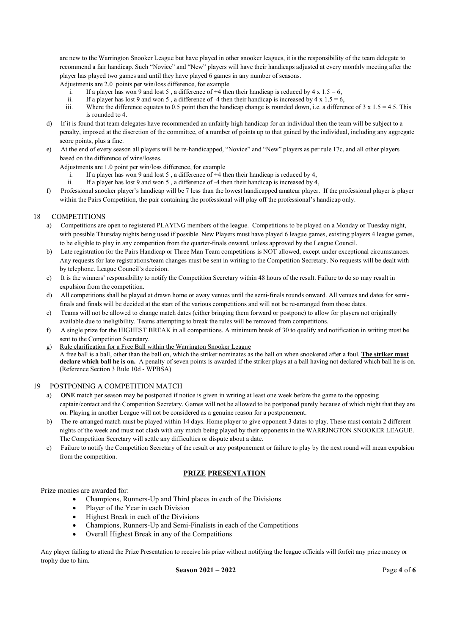are new to the Warrington Snooker League but have played in other snooker leagues, it is the responsibility of the team delegate to recommend a fair handicap. Such "Novice" and "New" players will have their handicaps adjusted at every monthly meeting after the player has played two games and until they have played 6 games in any number of seasons.

Adjustments are 2.0 points per win/loss difference, for example

- i. If a player has won 9 and lost 5, a difference of  $+4$  then their handicap is reduced by  $4 \times 1.5 = 6$ ,
- ii. If a player has lost 9 and won 5, a difference of -4 then their handicap is increased by  $4 \times 1.5 = 6$ ,
- iii. Where the difference equates to 0.5 point then the handicap change is rounded down, i.e. a difference of  $3 \times 1.5 = 4.5$ . This is rounded to 4.
- d) If it is found that team delegates have recommended an unfairly high handicap for an individual then the team will be subject to a penalty, imposed at the discretion of the committee, of a number of points up to that gained by the individual, including any aggregate score points, plus a fine.
- e) At the end of every season all players will be re-handicapped, "Novice" and "New" players as per rule 17c, and all other players based on the difference of wins/losses.

Adjustments are 1.0 point per win/loss difference, for example

- i. If a player has won 9 and lost 5 , a difference of +4 then their handicap is reduced by 4,
- ii. If a player has lost 9 and won 5 , a difference of -4 then their handicap is increased by 4,
- f) Professional snooker player's handicap will be 7 less than the lowest handicapped amateur player. If the professional player is player within the Pairs Competition, the pair containing the professional will play off the professional's handicap only.

# 18 COMPETITIONS

- a) Competitions are open to registered PLAYING members of the league. Competitions to be played on a Monday or Tuesday night, with possible Thursday nights being used if possible. New Players must have played 6 league games, existing players 4 league games, to be eligible to play in any competition from the quarter-finals onward, unless approved by the League Council.
- b) Late registration for the Pairs Handicap or Three Man Team competitions is NOT allowed, except under exceptional circumstances. Any requests for late registrations/team changes must be sent in writing to the Competition Secretary. No requests will be dealt with by telephone. League Council's decision.
- c) It is the winners' responsibility to notify the Competition Secretary within 48 hours of the result. Failure to do so may result in expulsion from the competition.
- d) All competitions shall be played at drawn home or away venues until the semi-finals rounds onward. All venues and dates for semifinals and finals will be decided at the start of the various competitions and will not be re-arranged from those dates.
- e) Teams will not be allowed to change match dates (either bringing them forward or postpone) to allow for players not originally available due to ineligibility. Teams attempting to break the rules will be removed from competitions.
- f) A single prize for the HIGHEST BREAK in all competitions. A minimum break of 30 to qualify and notification in writing must be sent to the Competition Secretary.
- g) Rule clarification for a Free Ball within the Warrington Snooker League A free ball is a ball, other than the ball on, which the striker nominates as the ball on when snookered after a foul. The striker must declare which ball he is on. A penalty of seven points is awarded if the striker plays at a ball having not declared which ball he is on. (Reference Section 3 Rule 10d - WPBSA)

#### 19 POSTPONING A COMPETITION MATCH

- a) ONE match per season may be postponed if notice is given in writing at least one week before the game to the opposing captain/contact and the Competition Secretary. Games will not be allowed to be postponed purely because of which night that they are on. Playing in another League will not be considered as a genuine reason for a postponement.
- b) The re-arranged match must be played within 14 days. Home player to give opponent 3 dates to play. These must contain 2 different nights of the week and must not clash with any match being played by their opponents in the WARRJNGTON SNOOKER LEAGUE. The Competition Secretary will settle any difficulties or dispute about a date.
- c) Failure to notify the Competition Secretary of the result or any postponement or failure to play by the next round will mean expulsion from the competition.

# PRIZE PRESENTATION

Prize monies are awarded for:

- Champions, Runners-Up and Third places in each of the Divisions
- Player of the Year in each Division
- Highest Break in each of the Divisions
- Champions, Runners-Up and Semi-Finalists in each of the Competitions
- Overall Highest Break in any of the Competitions

Any player failing to attend the Prize Presentation to receive his prize without notifying the league officials will forfeit any prize money or trophy due to him.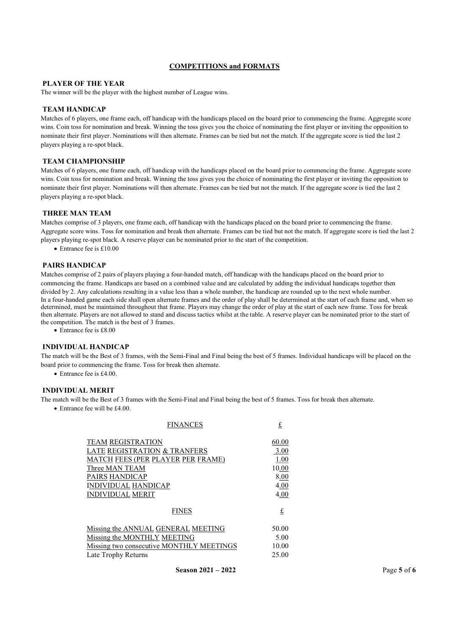# COMPETITIONS and FORMATS

# PLAYER OF THE YEAR

The winner will be the player with the highest number of League wins.

#### TEAM HANDICAP

Matches of 6 players, one frame each, off handicap with the handicaps placed on the board prior to commencing the frame. Aggregate score wins. Coin toss for nomination and break. Winning the toss gives you the choice of nominating the first player or inviting the opposition to nominate their first player. Nominations will then alternate. Frames can be tied but not the match. If the aggregate score is tied the last 2 players playing a re-spot black.

#### TEAM CHAMPIONSHIP

Matches of 6 players, one frame each, off handicap with the handicaps placed on the board prior to commencing the frame. Aggregate score wins. Coin toss for nomination and break. Winning the toss gives you the choice of nominating the first player or inviting the opposition to nominate their first player. Nominations will then alternate. Frames can be tied but not the match. If the aggregate score is tied the last 2 players playing a re-spot black.

#### THREE MAN TEAM

Matches comprise of 3 players, one frame each, off handicap with the handicaps placed on the board prior to commencing the frame. Aggregate score wins. Toss for nomination and break then alternate. Frames can be tied but not the match. If aggregate score is tied the last 2 players playing re-spot black. A reserve player can be nominated prior to the start of the competition.

Entrance fee is £10.00

#### PAIRS HANDICAP

Matches comprise of 2 pairs of players playing a four-handed match, off handicap with the handicaps placed on the board prior to commencing the frame. Handicaps are based on a combined value and are calculated by adding the individual handicaps together then divided by 2. Any calculations resulting in a value less than a whole number, the handicap are rounded up to the next whole number. In a four-handed game each side shall open alternate frames and the order of play shall be determined at the start of each frame and, when so determined, must be maintained throughout that frame. Players may change the order of play at the start of each new frame. Toss for break then alternate. Players are not allowed to stand and discuss tactics whilst at the table. A reserve player can be nominated prior to the start of the competition. The match is the best of 3 frames.

• Entrance fee is £8.00

#### INDIVIDUAL HANDICAP

The match will be the Best of 3 frames, with the Semi-Final and Final being the best of 5 frames. Individual handicaps will be placed on the board prior to commencing the frame. Toss for break then alternate.

Entrance fee is £4.00.

#### INDIVIDUAL MERIT

The match will be the Best of 3 frames with the Semi-Final and Final being the best of 5 frames. Toss for break then alternate.

Entrance fee will be £4.00.

| <b>FINANCES</b>                          | £     |
|------------------------------------------|-------|
| <b>TEAM REGISTRATION</b>                 | 60.00 |
| LATE REGISTRATION & TRANFERS             | 3.00  |
| <b>MATCH FEES (PER PLAYER PER FRAME)</b> | 1.00  |
| Three MAN TEAM                           | 10.00 |
| <b>PAIRS HANDICAP</b>                    | 8.00  |
| <b>INDIVIDUAL HANDICAP</b>               | 4.00  |
| <b>INDIVIDUAL MERIT</b>                  | 4.00  |
| <b>FINES</b>                             | £     |
| Missing the ANNUAL GENERAL MEETING       | 50.00 |
| Missing the MONTHLY MEETING              | 5.00  |
| Missing two consecutive MONTHLY MEETINGS | 10.00 |
| Late Trophy Returns                      | 25.00 |